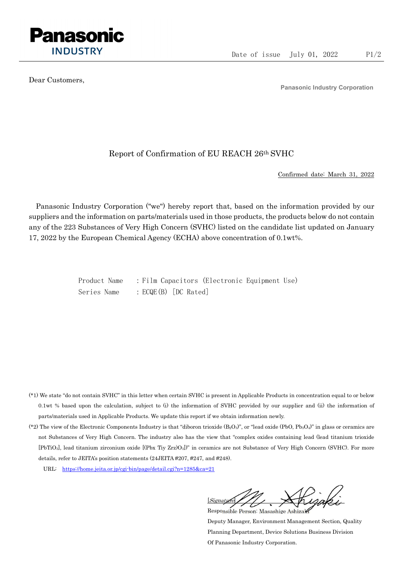

Dear Customers,

Panasonic Industry Corporation

## Report of Confirmation of EU REACH 26th SVHC

Confirmed date: March 31, 2022

Panasonic Industry Corporation ("we") hereby report that, based on the information provided by our suppliers and the information on parts/materials used in those products, the products below do not contain any of the 223 Substances of Very High Concern (SVHC) listed on the candidate list updated on January 17, 2022 by the European Chemical Agency (ECHA) above concentration of 0.1wt%.

> Product Name : Film Capacitors (Electronic Equipment Use) Series Name : ECQE(B) [DC Rated]

- (\*1) We state "do not contain SVHC" in this letter when certain SVHC is present in Applicable Products in concentration equal to or below 0.1wt % based upon the calculation, subject to (i) the information of SVHC provided by our supplier and (ii) the information of parts/materials used in Applicable Products. We update this report if we obtain information newly.
- (\*2) The view of the Electronic Components Industry is that "diboron trioxide  $(B_2O_3)$ ", or "lead oxide (PbO, Pb<sub>3</sub>O<sub>4</sub>)" in glass or ceramics are not Substances of Very High Concern. The industry also has the view that "complex oxides containing lead (lead titanium trioxide [PbTiO3], lead titanium zirconium oxide [(Pbx Tiy Zrz)O3])" in ceramics are not Substance of Very High Concern (SVHC). For more details, refer to JEITA's position statements (24JEITA #207, #247, and #248).
	- URL: https://home.jeita.or.jp/cgi-bin/page/detail.cgi?n=1285&ca=21

[Signature] Responsible Person: Masashige Ashizaki

Deputy Manager, Environment Management Section, Quality Planning Department, Device Solutions Business Division Of Panasonic Industry Corporation.